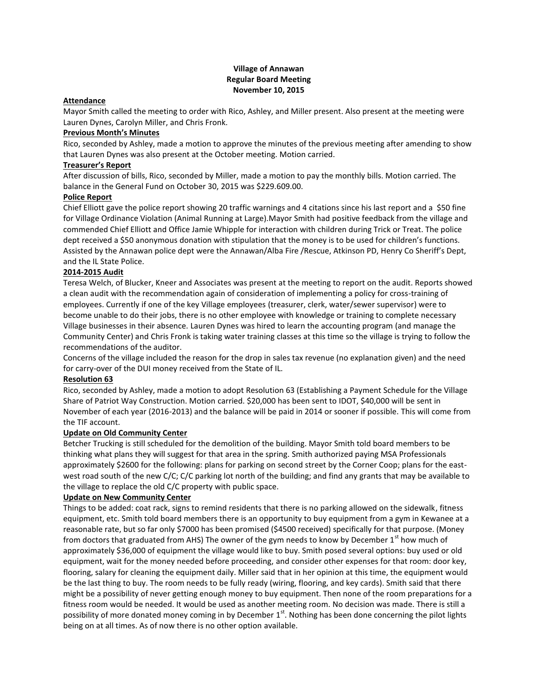# **Village of Annawan Regular Board Meeting November 10, 2015**

# **Attendance**

Mayor Smith called the meeting to order with Rico, Ashley, and Miller present. Also present at the meeting were Lauren Dynes, Carolyn Miller, and Chris Fronk.

# **Previous Month's Minutes**

Rico, seconded by Ashley, made a motion to approve the minutes of the previous meeting after amending to show that Lauren Dynes was also present at the October meeting. Motion carried.

# **Treasurer's Report**

After discussion of bills, Rico, seconded by Miller, made a motion to pay the monthly bills. Motion carried. The balance in the General Fund on October 30, 2015 was \$229.609.00.

# **Police Report**

Chief Elliott gave the police report showing 20 traffic warnings and 4 citations since his last report and a \$50 fine for Village Ordinance Violation (Animal Running at Large).Mayor Smith had positive feedback from the village and commended Chief Elliott and Office Jamie Whipple for interaction with children during Trick or Treat. The police dept received a \$50 anonymous donation with stipulation that the money is to be used for children's functions. Assisted by the Annawan police dept were the Annawan/Alba Fire /Rescue, Atkinson PD, Henry Co Sheriff's Dept, and the IL State Police.

# **2014-2015 Audit**

Teresa Welch, of Blucker, Kneer and Associates was present at the meeting to report on the audit. Reports showed a clean audit with the recommendation again of consideration of implementing a policy for cross-training of employees. Currently if one of the key Village employees (treasurer, clerk, water/sewer supervisor) were to become unable to do their jobs, there is no other employee with knowledge or training to complete necessary Village businesses in their absence. Lauren Dynes was hired to learn the accounting program (and manage the Community Center) and Chris Fronk is taking water training classes at this time so the village is trying to follow the recommendations of the auditor.

Concerns of the village included the reason for the drop in sales tax revenue (no explanation given) and the need for carry-over of the DUI money received from the State of IL.

## **Resolution 63**

Rico, seconded by Ashley, made a motion to adopt Resolution 63 (Establishing a Payment Schedule for the Village Share of Patriot Way Construction. Motion carried. \$20,000 has been sent to IDOT, \$40,000 will be sent in November of each year (2016-2013) and the balance will be paid in 2014 or sooner if possible. This will come from the TIF account.

## **Update on Old Community Center**

Betcher Trucking is still scheduled for the demolition of the building. Mayor Smith told board members to be thinking what plans they will suggest for that area in the spring. Smith authorized paying MSA Professionals approximately \$2600 for the following: plans for parking on second street by the Corner Coop; plans for the eastwest road south of the new C/C; C/C parking lot north of the building; and find any grants that may be available to the village to replace the old C/C property with public space.

## **Update on New Community Center**

Things to be added: coat rack, signs to remind residents that there is no parking allowed on the sidewalk, fitness equipment, etc. Smith told board members there is an opportunity to buy equipment from a gym in Kewanee at a reasonable rate, but so far only \$7000 has been promised (\$4500 received) specifically for that purpose. (Money from doctors that graduated from AHS) The owner of the gym needs to know by December  $1<sup>st</sup>$  how much of approximately \$36,000 of equipment the village would like to buy. Smith posed several options: buy used or old equipment, wait for the money needed before proceeding, and consider other expenses for that room: door key, flooring, salary for cleaning the equipment daily. Miller said that in her opinion at this time, the equipment would be the last thing to buy. The room needs to be fully ready (wiring, flooring, and key cards). Smith said that there might be a possibility of never getting enough money to buy equipment. Then none of the room preparations for a fitness room would be needed. It would be used as another meeting room. No decision was made. There is still a possibility of more donated money coming in by December 1<sup>st</sup>. Nothing has been done concerning the pilot lights being on at all times. As of now there is no other option available.